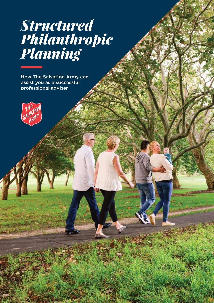# *Structured Philanthropic Planning*

How The Salvation Army can assist you as a successful professional adviser

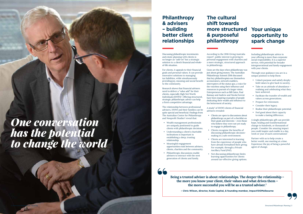# *One conversation has the potential to change the world*

### **Philanthropy & advisers – building better client relationships**

Discussing philanthropic investments and estate planning with clients is no longer an "add-on" but a strategic solution to a client's financial and wholeof-life situation.

The relationship between professional advisers, HNWI and their families can be quite special and beneficial. Findings from The Australian Centre for Philanthropy and Nonprofit Studies<sup>2</sup> reveal that:

For clients, it appeals to their financial goals and personal values. It can provide innovative solutions to managing tax liabilities, while simultaneously providing joy, meaning and social benefit to the community.

Research shows that financial advisers need to deliver a "value add" for their clients, especially High Net Worth Individuals (HNWI)<sup>2</sup>. Offering structured, strategic philanthropic advice can help a firm's competitive advantage.

- Wealth management professionals are uniquely positioned to guide clients with philanthropic decisions.
- Understanding a client's charitable inclinations is important in establishing a deep, trusting relationship.
- Meaningful engagement opportunities exist between advisers, clients, charities and the community.
- Philanthropic discussions enable advisers to interact with the next generation of clients and family.

### **Your unique opportunity to spark change**

Including philanthropic advice in your offering is more than corporate social responsibility. It is a superior service, with potential for broader intergenerational and family engagement with your clients.

Through your guidance you are in a unique position to help them:

- Unlock purpose and satisfy deeplyheld values to give back to society.
- Take on an attitude of abundance realising and celebrating what they have achieved.
- Facilitate the transfer of wealth and values across generations.
- Prepare for retirement.
- Consider their legacy.
- Realise their philanthropic potential.
- Feel good about their capacity to make a lasting difference.

A single philanthropic gift can provide hope, healing and transformational change to hundreds, or thousands of people. Consider the amazing impact you could inspire and enable in a day, week or year of such conversations!

Partner with us to help create a better world, one meeting at a time. Experience the joy of being a powerful agent of change.

**The cultural shift towards more structured & purposeful philanthropy** 

According to the 2016 Giving Australia report<sup>3</sup>, public interest is growing in personal engagement with charities and a more strategic, structured approach to philanthropy.

Gone are the days when philanthropy was just about giving money. The Australian Philanthropy Summit 2016 discussed that key philanthropists see themselves as innovators, network enablers, interrupters of the status quo, a voice for the voiceless using their influence and resources in pursuit of a larger vision. Entrepreneurs such as Bill Gates, Paul Ramsay and Andrew and Nicola Forrest have been inspiring examples of people dedicating their wealth and influence to the betterment of society.

A study2 of HNWI clients of financial advisers revealed:

> philanthropy as part of a checklist on their goals and interests – even those

- Clients are open to discussions about who believe they were not yet ready to engage in philanthropy.
- Clients recognise the benefits of discussing philanthropic decisionmaking in a safe environment.
- Clients are interested in learning from the experience of people who For example, through a Private Ancillary Fund (PAF).
- Not discussing philanthropy limits learning opportunities for clients

have already formalised their giving.

around tax-effective giving options.

**Being a trusted adviser is about relationships. The deeper the relationship – the more you know your client, their values and what drives them – the more successful you will be as a trusted adviser.1** 

**– Chris Wilson, director, Koda Capital, & founding member, Impact100Melbourne**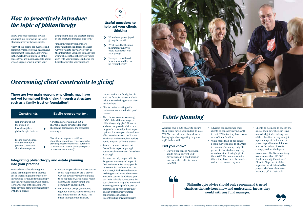## *Overcoming client constraints to giving*

**There are two main reasons why clients may have not yet formalised their giving through a structure**  such as a family trust or foundation<sup>2</sup>:

# **Useful questions to help get your clients**

**thinking**

When have you enjoyed giving the most?

- What would be the most  $\blacktriangleright$ meaningful thing you could accomplish with your giving?
- Have you considered how you would like to be remembered?

# *How to proactively introduce the topic of philanthropy*

Below are some examples of ways you might like to bring up the topic of philanthropy with your clients.

"Many of our clients are business and community leaders with a passion and commitment to making a difference in the world. If you inform us of the cause(s) you are most passionate about we can suggest ways in which your

giving might have the greatest impact in the short, medium and long term."

"Philanthropic investments are important financial decisions. That's why we want to provide you with all the information you need to make wise giving choices that reflect your values, align with your priorities and offer the best structure for your situation."

| <b>Constraints</b>                                                                        | <b>Easily overcome by</b>                                                                                                                                                                      |
|-------------------------------------------------------------------------------------------|------------------------------------------------------------------------------------------------------------------------------------------------------------------------------------------------|
| Not knowing about<br>the option of<br>formalising their<br>philanthropic desires.         | A trusted adviser can map out a<br>charitable giving structure for their<br>clients and demonstrate the associated<br>advantages.                                                              |
| Feeling overwhelmed<br>with the number of<br>possible causes and<br>charities to support. | Charities can improve confidence<br>about their operational effectiveness by<br>providing measureable social outcomes<br>to advisers and clients (through reports<br>or personal encounters).* |

#### **Philanthropic advice should only recommend trusted charities that advisers know and understand, just as they would with any fund manager.**

# *Estate planning*

Advisers owe a duty of care to ensure their clients have a valid and up-to-date Will. You can help your clients leave a lasting legacy by suggesting they leave a gift in their Will.

#### **Did you know?**

- Only 50 per cent of Australian adults have a current Will.<sup>3</sup> Advisers are in a good position to ensure their clients have a valid Will.
- Advisers can encourage their clients to consider leaving a gift in their Will after they have taken care of their families.
- While more than 84 per cent of people surveyed give to charities in time and/or money, only 30 per cent of Australians say they would consider leaving a gift in their Will<sup>3</sup>. The main reason for this is they have never been asked and are not aware they can.
- Clients do not need to specify the size of their gift. They can leave a residual gift after taking care of their families or they can gift a percentage of their estate. A percentage allows for inflation and, as the values of assets change, so does the legacy.
- In one year, The Salvation Army assists more than 150,000 families in a significant way.<sup>5</sup> Close to 50 per cent of this important work is funded by people who have chosen to include a gift in their Will.



#### **Integrating philanthropy and estate planning into your practice**

not just within the family, but also with the financial adviser – which helps ensure the longevity of client relationships.

- Clients prefer working with businesses associated with good causes.4
- There is low awareness among HNWI of the different ways to philanthropically give2 . Financial advisers can provide advice on a range of structured philanthropic options. For example, planned, taxeffective vehicles such as Private Ancillary Funds or Public Ancillary Funds may suit different clients.
- Research shows that interest from clients in participating in educational seminars on this subject is strong.2
- Advisers can help prepare clients for greater meaning and impact in their retirement. For many people, retirement is a well-deserved rest. For others, it is the time they want to shift gear and invest themselves in worthy causes. As advisers, you can make valuable connections for your clients who might be interested in serving on non-profit boards or committees, or wish to use their skills in professional volunteer opportunities in addition to contributing philanthropically.



- Philanthropic advice and corporate social responsibility are a proven way for advisory firms to enhance their reputation, attract and retain clients, and improve staff and community engagement.
- Philanthropy brings generations together in constructive discussions and unites them in purpose. This builds intergenerational trust,

Many advisers already integrate estate planning into their practice but an increasing number are now introducing structured philanthropy into their conversations with clients. Here are some of the reasons why more advisers bring up philanthropy with their clients: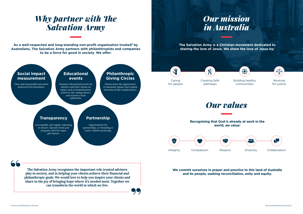As a well-respected and long-standing non-profit organisation trusted<sup>6</sup> by **Australians, The Salvation Army partners with philanthropists and companies to be a force for good in society. We offer:**

# *Why partner with The Salvation Army*

### **Philanthropic Giving Circles**

#### **Educational events**

Donors have the opportunity to maximise impact and expand networks of like-minded peers.

Intimate educational events for advisers and their clients on topics such as homelessness, youth at risk, ending slavery and recovery from addictions.

#### **Social impact measurement**

Clear and measurable outcomes achieved from donations.

> Opportunities for sponsorship, co-branding or cause-related marketing.

## 业 Caring for people

Accountable and regular reporting to donors. Special events and program visits for major gift donors.

**The Salvation Army recognises the important role trusted advisers play in society, and in helping your clients achieve their financial and philanthropic goals. We would love to help you inspire your clients and share in the joy of bringing hope where it's needed most. Together we can transform the world in which we live.**



**The Salvation Army is a Christian movement dedicated to sharing the love of Jesus. We share the love of Jesus by:**



**Recognising that God is already at work in the** 

# **world, we value:**



#### **We commit ourselves in prayer and practice to this land of Australia and its people, seeking reconciliation, unity and equity.**

Working for justice



Building healthy communities



Creating faith pathways

仪



# *Our values*

### **Transparency Partnership**

*6 | Structured Philanthropic Planning Structured Philanthropic Planning | 7*